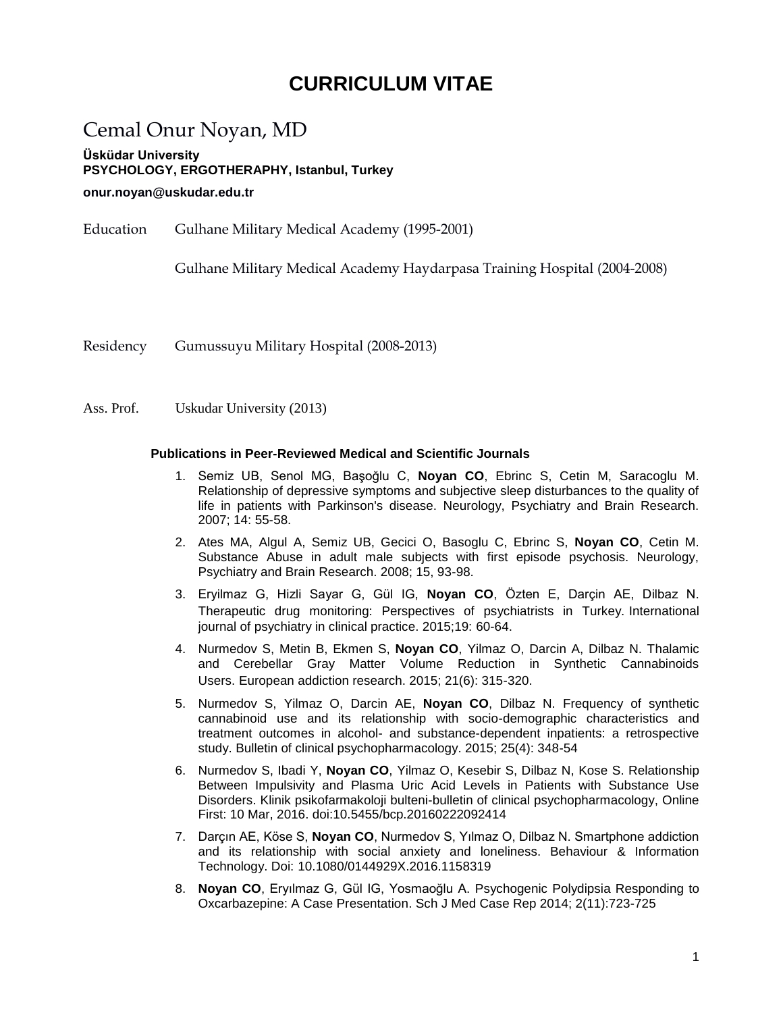# **CURRICULUM VITAE**

# Cemal Onur Noyan, MD

**Üsküdar University PSYCHOLOGY, ERGOTHERAPHY, Istanbul, Turkey**

### **onur.noyan@uskudar.edu.tr**

Education Gulhane Military Medical Academy (1995-2001)

Gulhane Military Medical Academy Haydarpasa Training Hospital (2004-2008)

Residency Gumussuyu Military Hospital (2008-2013)

Ass. Prof. Uskudar University (2013)

## **Publications in Peer-Reviewed Medical and Scientific Journals**

- 1. Semiz UB, Senol MG, Başoğlu C, **Noyan CO**, Ebrinc S, Cetin M, Saracoglu M. Relationship of depressive symptoms and subjective sleep disturbances to the quality of life in patients with Parkinson's disease. Neurology, Psychiatry and Brain Research. 2007; 14: 55-58.
- 2. Ates MA, Algul A, Semiz UB, Gecici O, Basoglu C, Ebrinc S, **Noyan CO**, Cetin M. Substance Abuse in adult male subjects with first episode psychosis. Neurology, Psychiatry and Brain Research. 2008; 15, 93-98.
- 3. Eryilmaz G, Hizli Sayar G, Gül IG, **Noyan CO**, Özten E, Darçin AE, Dilbaz N. Therapeutic drug monitoring: Perspectives of psychiatrists in Turkey. International journal of psychiatry in clinical practice. 2015;19: 60-64.
- 4. Nurmedov S, Metin B, Ekmen S, **Noyan CO**, Yilmaz O, Darcin A, Dilbaz N. Thalamic and Cerebellar Gray Matter Volume Reduction in Synthetic Cannabinoids Users. European addiction research. 2015; 21(6): 315-320.
- 5. Nurmedov S, Yilmaz O, Darcin AE, **Noyan CO**, Dilbaz N. Frequency of synthetic cannabinoid use and its relationship with socio-demographic characteristics and treatment outcomes in alcohol- and substance-dependent inpatients: a retrospective study. Bulletin of clinical psychopharmacology. 2015; 25(4): 348-54
- 6. Nurmedov S, Ibadi Y, **Noyan CO**, Yilmaz O, Kesebir S, Dilbaz N, Kose S. Relationship Between Impulsivity and Plasma Uric Acid Levels in Patients with Substance Use Disorders. Klinik psikofarmakoloji bulteni-bulletin of clinical psychopharmacology, Online First: 10 Mar, 2016. doi:10.5455/bcp.20160222092414
- 7. Darçın AE, Köse S, **Noyan CO**, Nurmedov S, Yılmaz O, Dilbaz N. Smartphone addiction and its relationship with social anxiety and loneliness. Behaviour & Information Technology. Doi: 10.1080/0144929X.2016.1158319
- 8. **Noyan CO**, Eryılmaz G, Gül IG, Yosmaoğlu A. Psychogenic Polydipsia Responding to Oxcarbazepine: A Case Presentation. Sch J Med Case Rep 2014; 2(11):723-725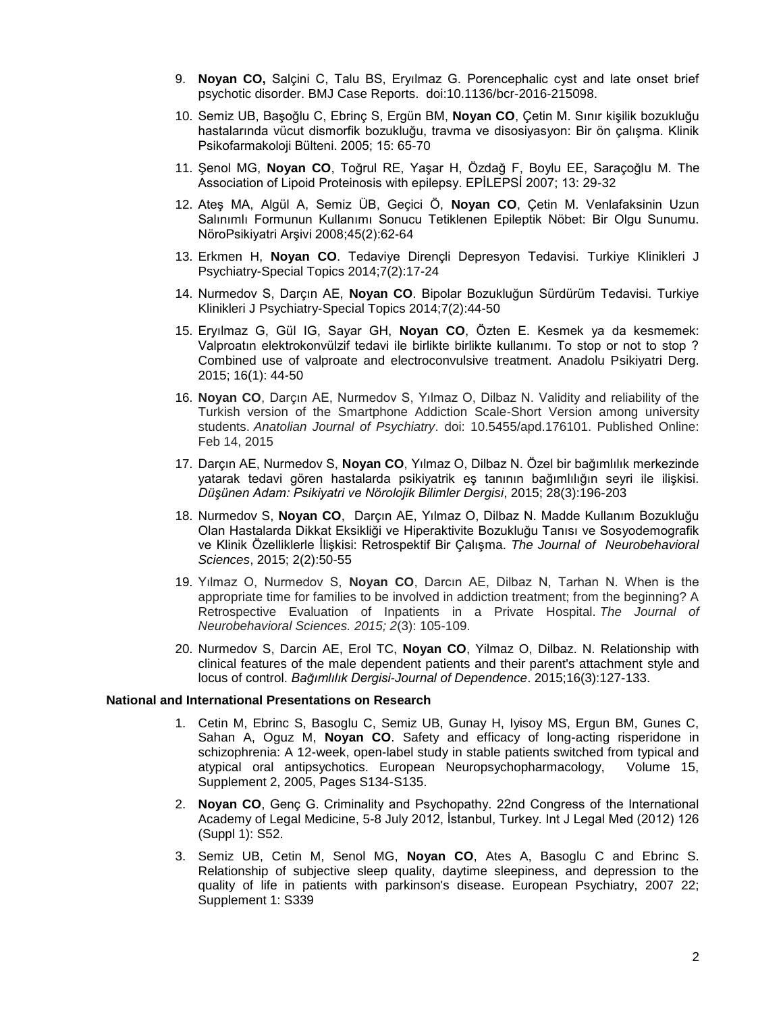- 9. **Noyan CO,** Salçini C, Talu BS, Eryılmaz G. Porencephalic cyst and late onset brief psychotic disorder. BMJ Case Reports. doi:10.1136/bcr-2016-215098.
- 10. Semiz UB, Başoğlu C, Ebrinç S, Ergün BM, **Noyan CO**, Çetin M. Sınır kişilik bozukluğu hastalarında vücut dismorfik bozukluğu, travma ve disosiyasyon: Bir ön çalışma. Klinik Psikofarmakoloji Bülteni. 2005; 15: 65-70
- 11. Şenol MG, **Noyan CO**, Toğrul RE, Yaşar H, Özdağ F, Boylu EE, Saraçoğlu M. The Association of Lipoid Proteinosis with epilepsy. EPİLEPSİ 2007; 13: 29-32
- 12. Ateş MA, Algül A, Semiz ÜB, Geçici Ö, **Noyan CO**, Çetin M. Venlafaksinin Uzun Salınımlı Formunun Kullanımı Sonucu Tetiklenen Epileptik Nöbet: Bir Olgu Sunumu. NöroPsikiyatri Arşivi 2008;45(2):62-64
- 13. Erkmen H, **Noyan CO**. Tedaviye Dirençli Depresyon Tedavisi. Turkiye Klinikleri J Psychiatry-Special Topics 2014;7(2):17-24
- 14. Nurmedov S, Darçın AE, **Noyan CO**. Bipolar Bozukluğun Sürdürüm Tedavisi. Turkiye Klinikleri J Psychiatry-Special Topics 2014;7(2):44-50
- 15. Eryılmaz G, Gül IG, Sayar GH, **Noyan CO**, Özten E. Kesmek ya da kesmemek: Valproatın elektrokonvülzif tedavi ile birlikte birlikte kullanımı. To stop or not to stop ? Combined use of valproate and electroconvulsive treatment. Anadolu Psikiyatri Derg. 2015; 16(1): 44-50
- 16. **Noyan CO**, Darçın AE, Nurmedov S, Yılmaz O, Dilbaz N. Validity and reliability of the Turkish version of the Smartphone Addiction Scale-Short Version among university students. *Anatolian Journal of Psychiatry*. doi: 10.5455/apd.176101. Published Online: Feb 14, 2015
- 17. Darçın AE, Nurmedov S, **Noyan CO**, Yılmaz O, Dilbaz N. Özel bir bağımlılık merkezinde yatarak tedavi gören hastalarda psikiyatrik eş tanının bağımlılığın seyri ile ilişkisi*. Düşünen Adam: Psikiyatri ve Nörolojik Bilimler Dergisi*, 2015; 28(3):196-203
- 18. Nurmedov S, **Noyan CO**, Darçın AE, Yılmaz O, Dilbaz N. Madde Kullanım Bozukluğu Olan Hastalarda Dikkat Eksikliği ve Hiperaktivite Bozukluğu Tanısı ve Sosyodemografik ve Klinik Özelliklerle İlişkisi: Retrospektif Bir Çalışma. *The Journal of Neurobehavioral Sciences*, 2015; 2(2):50-55
- 19. Yılmaz O, Nurmedov S, **Noyan CO**, Darcın AE, Dilbaz N, Tarhan N. When is the appropriate time for families to be involved in addiction treatment; from the beginning? A Retrospective Evaluation of Inpatients in a Private Hospital. *The Journal of Neurobehavioral Sciences. 2015; 2*(3): 105-109.
- 20. Nurmedov S, Darcin AE, Erol TC, **Noyan CO**, Yilmaz O, Dilbaz. N. Relationship with clinical features of the male dependent patients and their parent's attachment style and locus of control. *Bağımlılık Dergisi-Journal of Dependence*. 2015;16(3):127-133.

## **National and International Presentations on Research**

- 1. Cetin M, Ebrinc S, Basoglu C, Semiz UB, Gunay H, Iyisoy MS, Ergun BM, Gunes C, Sahan A, Oguz M, **Noyan CO**. Safety and efficacy of long-acting risperidone in schizophrenia: A 12-week, open-label study in stable patients switched from typical and atypical oral antipsychotics. European Neuropsychopharmacology, Volume 15, Supplement 2, 2005, Pages S134-S135.
- 2. **Noyan CO**, Genç G. Criminality and Psychopathy. 22nd Congress of the International Academy of Legal Medicine, 5-8 July 2012, İstanbul, Turkey. Int J Legal Med (2012) 126 (Suppl 1): S52.
- 3. Semiz UB, Cetin M, Senol MG, **Noyan CO**, Ates A, Basoglu C and Ebrinc S. Relationship of subjective sleep quality, daytime sleepiness, and depression to the quality of life in patients with parkinson's disease. European Psychiatry, 2007 22; Supplement 1: S339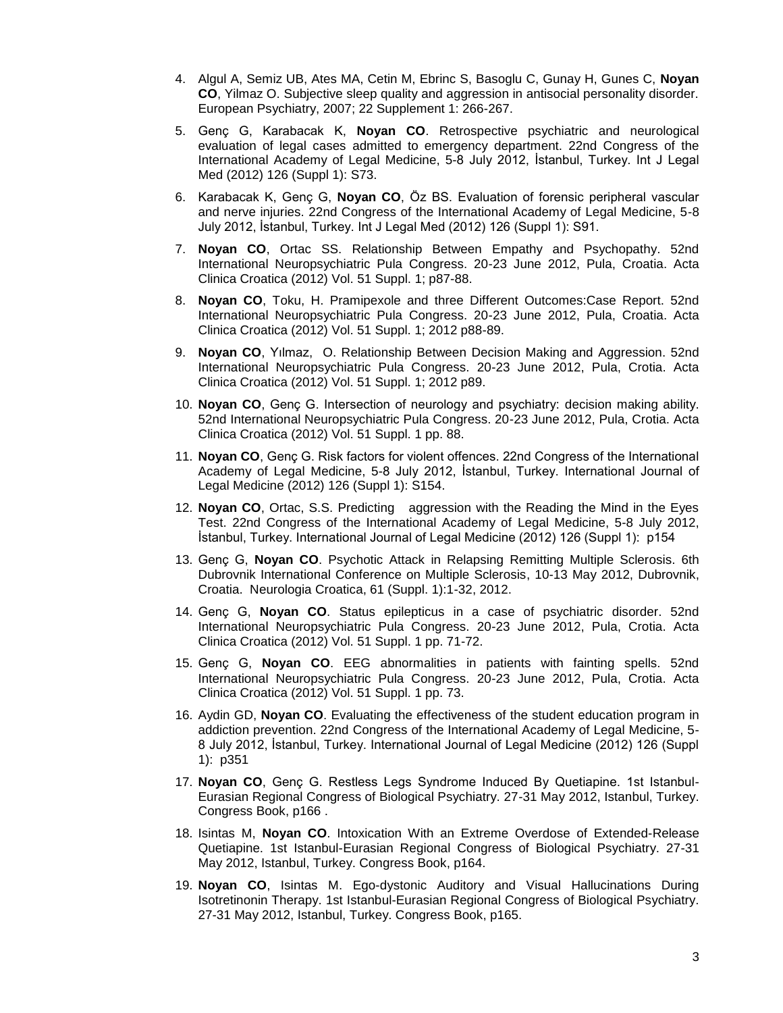- 4. Algul A, Semiz UB, Ates MA, Cetin M, Ebrinc S, Basoglu C, Gunay H, Gunes C, **Noyan CO**, Yilmaz O. Subjective sleep quality and aggression in antisocial personality disorder. European Psychiatry, 2007; 22 Supplement 1: 266-267.
- 5. Genç G, Karabacak K, **Noyan CO**. Retrospective psychiatric and neurological evaluation of legal cases admitted to emergency department. 22nd Congress of the International Academy of Legal Medicine, 5-8 July 2012, İstanbul, Turkey. Int J Legal Med (2012) 126 (Suppl 1): S73.
- 6. Karabacak K, Genç G, **Noyan CO**, Öz BS. Evaluation of forensic peripheral vascular and nerve injuries. 22nd Congress of the International Academy of Legal Medicine, 5-8 July 2012, İstanbul, Turkey. Int J Legal Med (2012) 126 (Suppl 1): S91.
- 7. **Noyan CO**, Ortac SS. Relationship Between Empathy and Psychopathy. 52nd International Neuropsychiatric Pula Congress. 20-23 June 2012, Pula, Croatia. Acta Clinica Croatica (2012) Vol. 51 Suppl. 1; p87-88.
- 8. **Noyan CO**, Toku, H. Pramipexole and three Different Outcomes:Case Report. 52nd International Neuropsychiatric Pula Congress. 20-23 June 2012, Pula, Croatia. Acta Clinica Croatica (2012) Vol. 51 Suppl. 1; 2012 p88-89.
- 9. **Noyan CO**, Yılmaz, O. Relationship Between Decision Making and Aggression. 52nd International Neuropsychiatric Pula Congress. 20-23 June 2012, Pula, Crotia. Acta Clinica Croatica (2012) Vol. 51 Suppl. 1; 2012 p89.
- 10. **Noyan CO**, Genç G. Intersection of neurology and psychiatry: decision making ability. 52nd International Neuropsychiatric Pula Congress. 20-23 June 2012, Pula, Crotia. Acta Clinica Croatica (2012) Vol. 51 Suppl. 1 pp. 88.
- 11. **Noyan CO**, Genç G. Risk factors for violent offences. 22nd Congress of the International Academy of Legal Medicine, 5-8 July 2012, İstanbul, Turkey. International Journal of Legal Medicine (2012) 126 (Suppl 1): S154.
- 12. **Noyan CO**, Ortac, S.S. Predicting aggression with the Reading the Mind in the Eyes Test. 22nd Congress of the International Academy of Legal Medicine, 5-8 July 2012, İstanbul, Turkey. International Journal of Legal Medicine (2012) 126 (Suppl 1): p154
- 13. Genç G, **Noyan CO**. Psychotic Attack in Relapsing Remitting Multiple Sclerosis. 6th Dubrovnik International Conference on Multiple Sclerosis, 10-13 May 2012, Dubrovnik, Croatia. Neurologia Croatica, 61 (Suppl. 1):1-32, 2012.
- 14. Genç G, **Noyan CO**. Status epilepticus in a case of psychiatric disorder. 52nd International Neuropsychiatric Pula Congress. 20-23 June 2012, Pula, Crotia. Acta Clinica Croatica (2012) Vol. 51 Suppl. 1 pp. 71-72.
- 15. Genç G, **Noyan CO**. EEG abnormalities in patients with fainting spells. 52nd International Neuropsychiatric Pula Congress. 20-23 June 2012, Pula, Crotia. Acta Clinica Croatica (2012) Vol. 51 Suppl. 1 pp. 73.
- 16. Aydin GD, **Noyan CO**. Evaluating the effectiveness of the student education program in addiction prevention. 22nd Congress of the International Academy of Legal Medicine, 5- 8 July 2012, İstanbul, Turkey. International Journal of Legal Medicine (2012) 126 (Suppl 1): p351
- 17. **Noyan CO**, Genç G. Restless Legs Syndrome Induced By Quetiapine. 1st Istanbul-Eurasian Regional Congress of Biological Psychiatry. 27-31 May 2012, Istanbul, Turkey. Congress Book, p166 .
- 18. Isintas M, **Noyan CO**. Intoxication With an Extreme Overdose of Extended-Release Quetiapine. 1st Istanbul-Eurasian Regional Congress of Biological Psychiatry. 27-31 May 2012, Istanbul, Turkey. Congress Book, p164.
- 19. **Noyan CO**, Isintas M. Ego-dystonic Auditory and Visual Hallucinations During Isotretinonin Therapy. 1st Istanbul-Eurasian Regional Congress of Biological Psychiatry. 27-31 May 2012, Istanbul, Turkey. Congress Book, p165.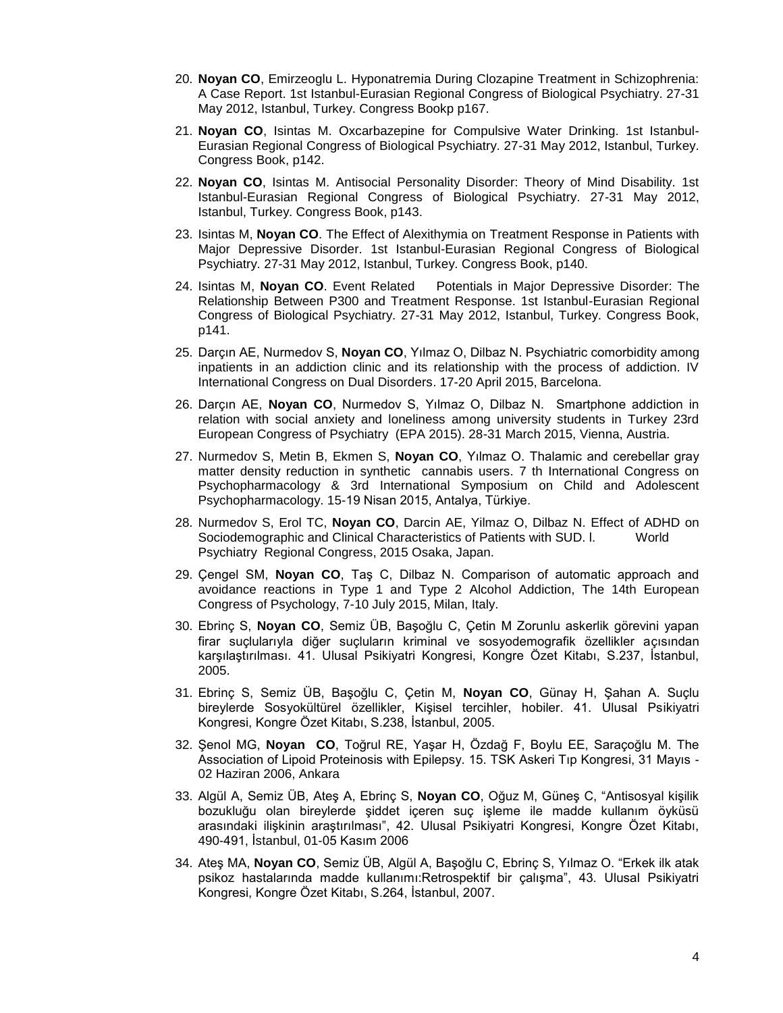- 20. **Noyan CO**, Emirzeoglu L. Hyponatremia During Clozapine Treatment in Schizophrenia: A Case Report. 1st Istanbul-Eurasian Regional Congress of Biological Psychiatry. 27-31 May 2012, Istanbul, Turkey. Congress Bookp p167.
- 21. **Noyan CO**, Isintas M. Oxcarbazepine for Compulsive Water Drinking. 1st Istanbul-Eurasian Regional Congress of Biological Psychiatry. 27-31 May 2012, Istanbul, Turkey. Congress Book, p142.
- 22. **Noyan CO**, Isintas M. Antisocial Personality Disorder: Theory of Mind Disability. 1st Istanbul-Eurasian Regional Congress of Biological Psychiatry. 27-31 May 2012, Istanbul, Turkey. Congress Book, p143.
- 23. Isintas M, **Noyan CO**. The Effect of Alexithymia on Treatment Response in Patients with Major Depressive Disorder. 1st Istanbul-Eurasian Regional Congress of Biological Psychiatry. 27-31 May 2012, Istanbul, Turkey. Congress Book, p140.
- 24. Isintas M, **Noyan CO**. Event Related Potentials in Major Depressive Disorder: The Relationship Between P300 and Treatment Response. 1st Istanbul-Eurasian Regional Congress of Biological Psychiatry. 27-31 May 2012, Istanbul, Turkey. Congress Book, p141.
- 25. Darçın AE, Nurmedov S, **Noyan CO**, Yılmaz O, Dilbaz N. Psychiatric comorbidity among inpatients in an addiction clinic and its relationship with the process of addiction. IV International Congress on Dual Disorders. 17-20 April 2015, Barcelona.
- 26. Darçın AE, **Noyan CO**, Nurmedov S, Yılmaz O, Dilbaz N. Smartphone addiction in relation with social anxiety and loneliness among university students in Turkey 23rd European Congress of Psychiatry (EPA 2015). 28-31 March 2015, Vienna, Austria.
- 27. Nurmedov S, Metin B, Ekmen S, **Noyan CO**, Yılmaz O. Thalamic and cerebellar gray matter density reduction in synthetic cannabis users. 7 th International Congress on Psychopharmacology & 3rd International Symposium on Child and Adolescent Psychopharmacology. 15-19 Nisan 2015, Antalya, Türkiye.
- 28. Nurmedov S, Erol TC, **Noyan CO**, Darcin AE, Yilmaz O, Dilbaz N. Effect of ADHD on Sociodemographic and Clinical Characteristics of Patients with SUD. l. World Psychiatry Regional Congress, 2015 Osaka, Japan.
- 29. Çengel SM, **Noyan CO**, Taş C, Dilbaz N. Comparison of automatic approach and avoidance reactions in Type 1 and Type 2 Alcohol Addiction, The 14th European Congress of Psychology, 7-10 July 2015, Milan, Italy.
- 30. Ebrinç S, **Noyan CO**, Semiz ÜB, Başoğlu C, Çetin M Zorunlu askerlik görevini yapan firar suçlularıyla diğer suçluların kriminal ve sosyodemografik özellikler açısından karşılaştırılması. 41. Ulusal Psikiyatri Kongresi, Kongre Özet Kitabı, S.237, İstanbul, 2005.
- 31. Ebrinç S, Semiz ÜB, Başoğlu C, Çetin M, **Noyan CO**, Günay H, Şahan A. Suçlu bireylerde Sosyokültürel özellikler, Kişisel tercihler, hobiler. 41. Ulusal Psikiyatri Kongresi, Kongre Özet Kitabı, S.238, İstanbul, 2005.
- 32. Şenol MG, **Noyan CO**, Toğrul RE, Yaşar H, Özdağ F, Boylu EE, Saraçoğlu M. The Association of Lipoid Proteinosis with Epilepsy. 15. TSK Askeri Tıp Kongresi, 31 Mayıs - 02 Haziran 2006, Ankara
- 33. Algül A, Semiz ÜB, Ateş A, Ebrinç S, **Noyan CO**, Oğuz M, Güneş C, "Antisosyal kişilik bozukluğu olan bireylerde şiddet içeren suç işleme ile madde kullanım öyküsü arasındaki ilişkinin araştırılması", 42. Ulusal Psikiyatri Kongresi, Kongre Özet Kitabı, 490-491, İstanbul, 01-05 Kasım 2006
- 34. Ateş MA, **Noyan CO**, Semiz ÜB, Algül A, Başoğlu C, Ebrinç S, Yılmaz O. "Erkek ilk atak psikoz hastalarında madde kullanımı:Retrospektif bir çalışma", 43. Ulusal Psikiyatri Kongresi, Kongre Özet Kitabı, S.264, İstanbul, 2007.